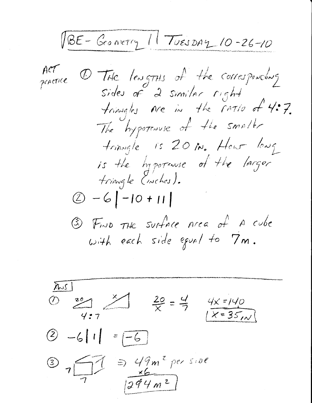RE-GONNETY 11 TUESDAY 10-26-10 ACT @ THE lengTHS of the corresponding Sides of  $2$  smiller right triangles are in the ratio of 4:7. The hypotrause of the small trinagle is 20 in. How long is the hypotenuse of the larger tringle (inches).  $(2) -6$  | -10 + 11 | 3) FIND THE SUFFACE Area of A cube with each side equal to  $7m$ .

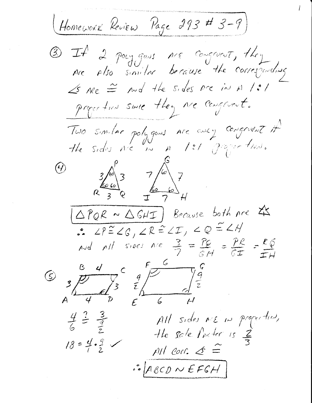Homework Review Page 293 # 3-9) 3) If 2 pay gass ne congrent, they plso similar because the corresponding  $Arc$  $\measuredangle$ s me  $\cong$  nd the sides are in A /:/ pages this since they are confirmet. Two similar polygous are every congruent of  $3/6$ <br>  $7/6$ <br>  $7/6$ <br>  $7/6$ <br>  $7/6$ <br>  $7/1$  $\bigcirc$  $(\triangle PQR \sim \triangle GHT)$  Because both are  $2S$  $P^2 \angle P^2 \angle G, \angle R \stackrel{\sim}{=} \angle T, \angle Q \stackrel{\sim}{=} \angle H$ And all sides are  $\frac{3}{7} = \frac{76}{64} = \frac{78}{67} = \frac{66}{611}$  $F_{\longrightarrow}$  $\mathsf{C}$  $\beta$  4  $\frac{q}{z}$  $\nabla_{3}$   $\frac{q}{z}$  $38$ All sides me in proportion,  $\frac{4}{6} = \frac{3}{2}$ the sole factor is  $\frac{2}{3}$  $18 = 4.9$  $All$  corr.  $\leq$  =  $\mathcal{L}$   $\mathcal{L}$   $\beta$   $\mathcal{L}$   $\beta$   $\mathcal{L}$   $\mathcal{L}$   $\mathcal{L}$   $\mathcal{L}$   $\mathcal{L}$   $\mathcal{L}$   $\mathcal{L}$   $\mathcal{L}$   $\mathcal{L}$   $\mathcal{L}$   $\mathcal{L}$   $\mathcal{L}$   $\mathcal{L}$   $\mathcal{L}$   $\mathcal{L}$   $\mathcal{L}$   $\mathcal{L}$   $\mathcal{L}$   $\mathcal{L}$   $\mathcal{L}$   $\mathcal$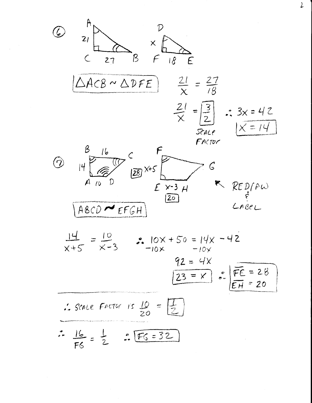

 $\overline{L}$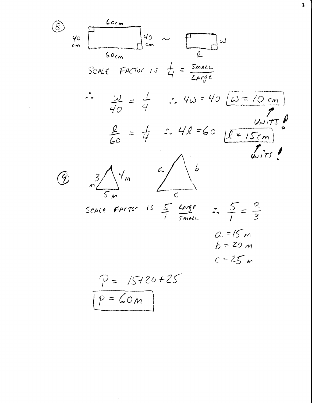60. 
$$
\frac{100 \text{ cm}}{60 \text{ cm}}
$$

\n50.426. Factor is  $\frac{1}{4} = \frac{5 \text{ m} \omega L}{2 \text{ m} \cdot 9 \text{ c}}$ 

\n61.  $\frac{\omega L}{40} = \frac{1}{4}$   $\therefore$   $4\omega = 40 \text{ } \frac{\omega \sqrt{150}}{100}$ 

\n62.  $\frac{\omega L}{40} = \frac{1}{4}$   $\therefore$   $4\omega = 40 \text{ } \frac{\omega \sqrt{150}}{100}$ 

\n63.  $\frac{8}{60} = \frac{1}{4}$   $\therefore$   $4\ell = 60 \text{ } \frac{\omega \sqrt{150}}{100}$ 

\n64.  $\frac{8}{60} = \frac{1}{4}$   $\therefore$   $4\ell = 60 \text{ } \frac{\omega \sqrt{150}}{100} = \frac{1}{200}$ 

\n65.  $\frac{3}{5} = \frac{2}{3}$   $\frac{2}{3} = 15$   $\frac{2}{3} = 20$   $\frac{2}{3} = 20$   $\frac{2}{3} = 20$   $\frac{2}{3} = 20$   $\frac{2}{3} = 20$   $\frac{2}{3} = 20$   $\frac{2}{3} = 20$   $\frac{2}{3} = 20$   $\frac{2}{3} = 20$   $\frac{2}{3} = 20$   $\frac{2}{3} = 20$   $\frac{2}{3} = 20$   $\frac{2}{3} = 20$   $\frac{2}{3} = 20$ 

 $\sim$ 

 $\mathbf 3$ 

$$
\boxed{P = \text{Gom}}
$$

 $\mathcal{L}^{\text{max}}_{\text{max}}$ 

 $\label{eq:2.1} \frac{1}{\sqrt{2\pi}}\frac{1}{\sqrt{2\pi}}\frac{1}{\sqrt{2\pi}}\frac{1}{\sqrt{2\pi}}\frac{1}{\sqrt{2\pi}}\frac{1}{\sqrt{2\pi}}\frac{1}{\sqrt{2\pi}}\frac{1}{\sqrt{2\pi}}\frac{1}{\sqrt{2\pi}}\frac{1}{\sqrt{2\pi}}\frac{1}{\sqrt{2\pi}}\frac{1}{\sqrt{2\pi}}\frac{1}{\sqrt{2\pi}}\frac{1}{\sqrt{2\pi}}\frac{1}{\sqrt{2\pi}}\frac{1}{\sqrt{2\pi}}\frac{1}{\sqrt{2\pi}}\frac{1}{\sqrt$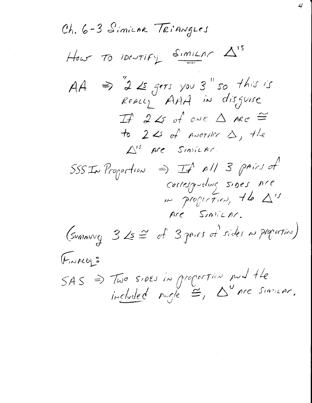Ch. 6-3 SimiLAR TRIANGLES How To IDONTIFY SIMILAR A'S  $AA \Rightarrow 22$  gets you 3" so this is<br>Really AAA in disgune  $\begin{array}{ccc} \mathcal{I} & 2 & \mathcal{L} & \mathcal{I} & \mathcal{I} & \mathcal{I} & \mathcal{I} & \mathcal{I} & \mathcal{I} & \mathcal{I} & \mathcal{I} & \mathcal{I} & \mathcal{I} & \mathcal{I} & \mathcal{I} & \mathcal{I} & \mathcal{I} & \mathcal{I} & \mathcal{I} & \mathcal{I} & \mathcal{I} & \mathcal{I} & \mathcal{I} & \mathcal{I} & \mathcal{I} & \mathcal{I} & \mathcal{I} & \mathcal{I} & \mathcal{I} & \mathcal{I} & \mathcal{I} &$ to  $2$  is of protrice  $\triangle$ , the  $\triangle^{IS}$  are Similar. corresponding sides nre Are Simicor. (summing  $32 \leq 4$  of  $3$  genral of sides in properties) FINALLE  $SAS \Rightarrow Two subsets in a operator and the  
induced node  $\cong$ ,  $\triangle^{v}$  are similar.$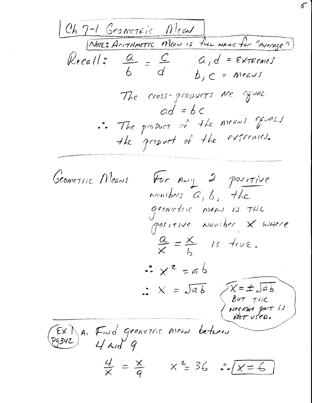Ch 7-1 Geometric Mean)<br>[NOTES ACITAMETIC Mean Is fue NAME for "Average"] Kecall:  $\frac{a}{b} = \frac{c}{d}$   $a, d = \epsilon$ x remes  $b, c = meas$ The cross-propucts are equal  $ad = bc$ .. The product of the means goines the gropoet of the extremes. Geometric Means For ANY 2 positive Numbers  $a, b,$  the geometric means is the  $\frac{\alpha}{x} = \frac{x}{L}$  is true.  $\frac{1}{2}x^{2} = ab$  $X = \sqrt{ab}$   $\begin{matrix} \sqrt{x} = \pm \sqrt{ab} \\ B^{uT} & T^{H}C \end{matrix}$ <br>Negative part  $T^{H}$ EX) A. Fund geometric mean between  $\frac{4}{x} = \frac{x}{9}$   $x^2 = 36$   $\cdot\sqrt{x = 6}$ 

 $\mathcal{E}$